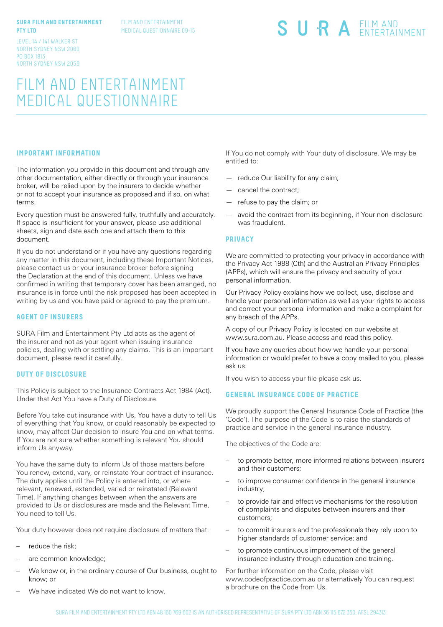## **SURA FILM AND ENTERTAINMENT PTY LTD**

FILM AND ENTERTAINMENT MEDICAL QUESTIONNAIRE 09-15 SURA EILM AND

LEVEL 14 / 141 WALKER ST NORTH SYDNEY NSW 2060 PO BOX 1813 NORTH SYDNEY NSW 2059

# FILM AND ENTERTAINMENT MEDICAL QUESTIONNAIRE

## **IMPORTANT INFORMATION**

The information you provide in this document and through any other documentation, either directly or through your insurance broker, will be relied upon by the insurers to decide whether or not to accept your insurance as proposed and if so, on what terms.

Every question must be answered fully, truthfully and accurately. If space is insufficient for your answer, please use additional sheets, sign and date each one and attach them to this document.

If you do not understand or if you have any questions regarding any matter in this document, including these Important Notices, please contact us or your insurance broker before signing the Declaration at the end of this document. Unless we have confirmed in writing that temporary cover has been arranged, no insurance is in force until the risk proposed has been accepted in writing by us and you have paid or agreed to pay the premium.

## **AGENT OF INSURERS**

SURA Film and Entertainment Pty Ltd acts as the agent of the insurer and not as your agent when issuing insurance policies, dealing with or settling any claims. This is an important document, please read it carefully.

## **DUTY OF DISCLOSURE**

This Policy is subject to the Insurance Contracts Act 1984 (Act). Under that Act You have a Duty of Disclosure.

Before You take out insurance with Us, You have a duty to tell Us of everything that You know, or could reasonably be expected to know, may affect Our decision to insure You and on what terms. If You are not sure whether something is relevant You should inform Us anyway.

You have the same duty to inform Us of those matters before You renew, extend, vary, or reinstate Your contract of insurance. The duty applies until the Policy is entered into, or where relevant, renewed, extended, varied or reinstated (Relevant Time). If anything changes between when the answers are provided to Us or disclosures are made and the Relevant Time, You need to tell Us.

Your duty however does not require disclosure of matters that:

- reduce the risk;
- are common knowledge;
- We know or, in the ordinary course of Our business, ought to know; or
- We have indicated We do not want to know.

If You do not comply with Your duty of disclosure, We may be entitled to:

- reduce Our liability for any claim;
- cancel the contract;
- refuse to pay the claim; or
- avoid the contract from its beginning, if Your non-disclosure was fraudulent.

## **PRIVACY**

We are committed to protecting your privacy in accordance with the Privacy Act 1988 (Cth) and the Australian Privacy Principles (APPs), which will ensure the privacy and security of your personal information.

Our Privacy Policy explains how we collect, use, disclose and handle your personal information as well as your rights to access and correct your personal information and make a complaint for any breach of the APPs.

A copy of our Privacy Policy is located on our website at www.sura.com.au. Please access and read this policy.

If you have any queries about how we handle your personal information or would prefer to have a copy mailed to you, please ask us.

If you wish to access your file please ask us.

## **GENERAL INSURANCE CODE OF PRACTICE**

We proudly support the General Insurance Code of Practice (the 'Code'). The purpose of the Code is to raise the standards of practice and service in the general insurance industry.

The objectives of the Code are:

- to promote better, more informed relations between insurers and their customers;
- to improve consumer confidence in the general insurance industry;
- to provide fair and effective mechanisms for the resolution of complaints and disputes between insurers and their customers;
- to commit insurers and the professionals they rely upon to higher standards of customer service; and
- to promote continuous improvement of the general insurance industry through education and training.

For further information on the Code, please visit www.codeofpractice.com.au or alternatively You can request a brochure on the Code from Us.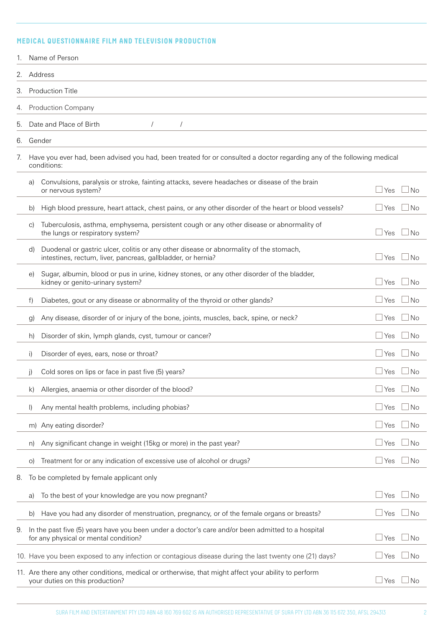# **MEDICAL QUESTIONNAIRE FILM AND TELEVISION PRODUCTION**

|    |                           | Name of Person                                                                                                                                         |              |           |  |
|----|---------------------------|--------------------------------------------------------------------------------------------------------------------------------------------------------|--------------|-----------|--|
| 2. | Address                   |                                                                                                                                                        |              |           |  |
| 3. |                           | <b>Production Title</b>                                                                                                                                |              |           |  |
| 4. | <b>Production Company</b> |                                                                                                                                                        |              |           |  |
| 5. |                           | Date and Place of Birth<br>$\sqrt{2}$                                                                                                                  |              |           |  |
| 6. |                           | Gender                                                                                                                                                 |              |           |  |
| 7. |                           | Have you ever had, been advised you had, been treated for or consulted a doctor regarding any of the following medical<br>conditions:                  |              |           |  |
|    | a)                        | Convulsions, paralysis or stroke, fainting attacks, severe headaches or disease of the brain<br>or nervous system?                                     | Yes          | l No      |  |
|    | b)                        | High blood pressure, heart attack, chest pains, or any other disorder of the heart or blood vessels?                                                   | l Yes        | l No      |  |
|    | C)                        | Tuberculosis, asthma, emphysema, persistent cough or any other disease or abnormality of<br>the lungs or respiratory system?                           | Yes          | ⊥No       |  |
|    | d)                        | Duodenal or gastric ulcer, colitis or any other disease or abnormality of the stomach,<br>intestines, rectum, liver, pancreas, gallbladder, or hernia? | l Yes        | $\Box$ No |  |
|    | e)                        | Sugar, albumin, blood or pus in urine, kidney stones, or any other disorder of the bladder,<br>kidney or genito-urinary system?                        | Yes          | l No      |  |
|    | f)                        | Diabetes, gout or any disease or abnormality of the thyroid or other glands?                                                                           | Yes          | l No      |  |
|    | g)                        | Any disease, disorder of or injury of the bone, joints, muscles, back, spine, or neck?                                                                 | Yes          | l No      |  |
|    | h)                        | Disorder of skin, lymph glands, cyst, tumour or cancer?                                                                                                | Yes          | l No      |  |
|    | i)                        | Disorder of eyes, ears, nose or throat?                                                                                                                | Yes          | ⊿ No      |  |
|    | j)                        | Cold sores on lips or face in past five (5) years?                                                                                                     | Yes          | l No      |  |
|    | k)                        | Allergies, anaemia or other disorder of the blood?                                                                                                     | Yes          | ∃No       |  |
|    | $\vert$                   | Any mental health problems, including phobias?                                                                                                         | Yes          | ⊿No       |  |
|    | m)                        | Any eating disorder?                                                                                                                                   | Yes          | ⊥No       |  |
|    | n)                        | Any significant change in weight (15kg or more) in the past year?                                                                                      | Yes          | ⊥No       |  |
|    | O)                        | Treatment for or any indication of excessive use of alcohol or drugs?                                                                                  | Yes          | ⊿ No      |  |
| 8. |                           | To be completed by female applicant only                                                                                                               |              |           |  |
|    | a)                        | To the best of your knowledge are you now pregnant?                                                                                                    | ⊿ Yes        | $\Box$ No |  |
|    | b)                        | Have you had any disorder of menstruation, pregnancy, or of the female organs or breasts?                                                              | ⊥Yes         | $\Box$ No |  |
| 9. |                           | In the past five (5) years have you been under a doctor's care and/or been admitted to a hospital<br>for any physical or mental condition?             | Yes          | l No      |  |
|    |                           | 10. Have you been exposed to any infection or contagious disease during the last twenty one (21) days?                                                 | $\sqcup$ Yes | ⊥No       |  |
|    |                           | 11. Are there any other conditions, medical or ortherwise, that might affect your ability to perform<br>your duties on this production?                | $\sqcup$ Yes | ⊿ No      |  |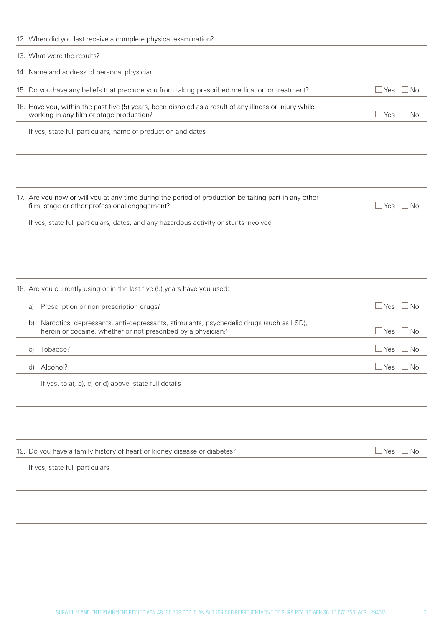| 13. What were the results?                                                                                                                                            |                |
|-----------------------------------------------------------------------------------------------------------------------------------------------------------------------|----------------|
| 14. Name and address of personal physician                                                                                                                            |                |
| 15. Do you have any beliefs that preclude you from taking prescribed medication or treatment?<br>l Yes                                                                | No.            |
| 16. Have you, within the past five (5) years, been disabled as a result of any illness or injury while<br>working in any film or stage production?<br>l Yes           | <b>No</b>      |
| If yes, state full particulars, name of production and dates                                                                                                          |                |
|                                                                                                                                                                       |                |
|                                                                                                                                                                       |                |
|                                                                                                                                                                       |                |
| 17. Are you now or will you at any time during the period of production be taking part in any other<br>film, stage or other professional engagement?<br>$\sqcup$ Yes  | ⊿ No           |
| If yes, state full particulars, dates, and any hazardous activity or stunts involved                                                                                  |                |
|                                                                                                                                                                       |                |
|                                                                                                                                                                       |                |
|                                                                                                                                                                       |                |
| 18. Are you currently using or in the last five (5) years have you used:                                                                                              |                |
| Prescription or non prescription drugs?<br>⊥Yes<br>a)                                                                                                                 | No.            |
| Narcotics, depressants, anti-depressants, stimulants, psychedelic drugs (such as LSD),<br>b)<br>heroin or cocaine, whether or not prescribed by a physician?<br>l Yes | N <sub>o</sub> |
| Tobacco?<br>l Yes<br>$\vert$ C)                                                                                                                                       | No.            |
| Alcohol?<br>  Yes<br>d)                                                                                                                                               | No             |
| If yes, to a), b), c) or d) above, state full details                                                                                                                 |                |
|                                                                                                                                                                       |                |
|                                                                                                                                                                       |                |
|                                                                                                                                                                       |                |
| 19. Do you have a family history of heart or kidney disease or diabetes?<br>$\Box$ Yes                                                                                | $\Box$ No      |
| If yes, state full particulars                                                                                                                                        |                |
|                                                                                                                                                                       |                |
|                                                                                                                                                                       |                |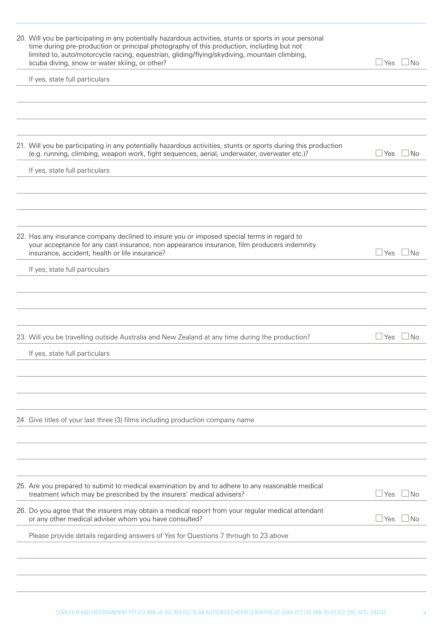| 20. Will you be participating in any potentially hazardous activities, stunts or sports in your personal<br>time during pre-production or principal photography of this production, including but not<br>limited to, auto/motorcycle racing, equestrian, gliding/flying/skydiving, mountain climbing,<br>scuba diving, snow or water skiing, or other? | $\sqcup$ Yes | ⊥No               |
|--------------------------------------------------------------------------------------------------------------------------------------------------------------------------------------------------------------------------------------------------------------------------------------------------------------------------------------------------------|--------------|-------------------|
| If yes, state full particulars                                                                                                                                                                                                                                                                                                                         |              |                   |
|                                                                                                                                                                                                                                                                                                                                                        |              |                   |
|                                                                                                                                                                                                                                                                                                                                                        |              |                   |
| 21. Will you be participating in any potentially hazardous activities, stunts or sports during this production<br>(e.g. running, climbing, weapon work, fight sequences, aerial, underwater, overwater etc.)?                                                                                                                                          | ⊿ Yes        | $\Box$ No         |
| If yes, state full particulars                                                                                                                                                                                                                                                                                                                         |              |                   |
|                                                                                                                                                                                                                                                                                                                                                        |              |                   |
|                                                                                                                                                                                                                                                                                                                                                        |              |                   |
| 22. Has any insurance company declined to insure you or imposed special terms in regard to<br>your acceptance for any cast insurance, non appearance insurance, film producers indemnity<br>insurance, accident, health or life insurance?                                                                                                             | ⊥Yes         | No                |
| If yes, state full particulars                                                                                                                                                                                                                                                                                                                         |              |                   |
|                                                                                                                                                                                                                                                                                                                                                        |              |                   |
|                                                                                                                                                                                                                                                                                                                                                        |              |                   |
| 23. Will you be travelling outside Australia and New Zealand at any time during the production?                                                                                                                                                                                                                                                        | ⊿Yes         | $\blacksquare$ No |
| If yes, state full particulars                                                                                                                                                                                                                                                                                                                         |              |                   |
|                                                                                                                                                                                                                                                                                                                                                        |              |                   |
|                                                                                                                                                                                                                                                                                                                                                        |              |                   |
|                                                                                                                                                                                                                                                                                                                                                        |              |                   |
| 24. Give titles of your last three (3) films including production company name                                                                                                                                                                                                                                                                         |              |                   |
|                                                                                                                                                                                                                                                                                                                                                        |              |                   |
|                                                                                                                                                                                                                                                                                                                                                        |              |                   |
| 25. Are you prepared to submit to medical examination by and to adhere to any reasonable medical<br>treatment which may be prescribed by the insurers' medical advisers?                                                                                                                                                                               | ⊥Yes         | No                |
| 26. Do you agree that the insurers may obtain a medical report from your regular medical attendant<br>or any other medical adviser whom you have consulted?                                                                                                                                                                                            | ⊥Yes         | No                |
| Please provide details regarding answers of Yes for Questions 7 through to 23 above                                                                                                                                                                                                                                                                    |              |                   |
|                                                                                                                                                                                                                                                                                                                                                        |              |                   |
|                                                                                                                                                                                                                                                                                                                                                        |              |                   |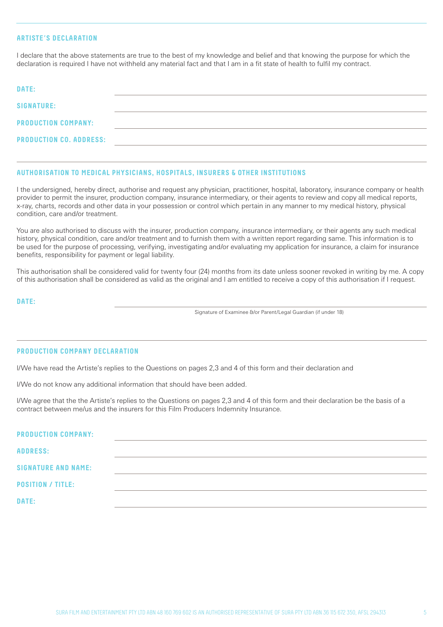# **ARTISTE'S DECLARATION**

I declare that the above statements are true to the best of my knowledge and belief and that knowing the purpose for which the declaration is required I have not withheld any material fact and that I am in a fit state of health to fulfil my contract.

| DATE:                          |  |
|--------------------------------|--|
| <b>SIGNATURE:</b>              |  |
| PRODUCTION COMPANY:            |  |
| <b>PRODUCTION CO. ADDRESS:</b> |  |

#### **AUTHORISATION TO MEDICAL PHYSICIANS, HOSPITALS, INSURERS & OTHER INSTITUTIONS**

I the undersigned, hereby direct, authorise and request any physician, practitioner, hospital, laboratory, insurance company or health provider to permit the insurer, production company, insurance intermediary, or their agents to review and copy all medical reports, x-ray, charts, records and other data in your possession or control which pertain in any manner to my medical history, physical condition, care and/or treatment.

You are also authorised to discuss with the insurer, production company, insurance intermediary, or their agents any such medical history, physical condition, care and/or treatment and to furnish them with a written report regarding same. This information is to be used for the purpose of processing, verifying, investigating and/or evaluating my application for insurance, a claim for insurance benefits, responsibility for payment or legal liability.

This authorisation shall be considered valid for twenty four (24) months from its date unless sooner revoked in writing by me. A copy of this authorisation shall be considered as valid as the original and I am entitled to receive a copy of this authorisation if I request.

**DATE:**

Signature of Examinee &/or Parent/Legal Guardian (if under 18)

#### **PRODUCTION COMPANY DECLARATION**

I/We have read the Artiste's replies to the Questions on pages 2,3 and 4 of this form and their declaration and

I/We do not know any additional information that should have been added.

I/We agree that the the Artiste's replies to the Questions on pages 2,3 and 4 of this form and their declaration be the basis of a contract between me/us and the insurers for this Film Producers Indemnity Insurance.

| PRODUCTION COMPANY:        |  |  |
|----------------------------|--|--|
| <b>ADDRESS:</b>            |  |  |
| <b>SIGNATURE AND NAME:</b> |  |  |
| <b>POSITION / TITLE:</b>   |  |  |
| DATE:                      |  |  |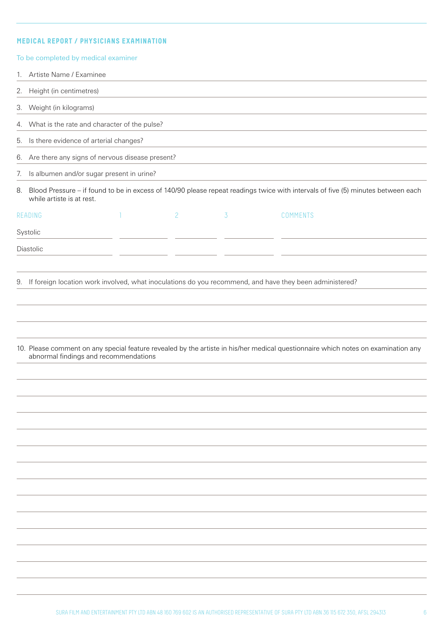# **MEDICAL REPORT / PHYSICIANS EXAMINATION**

|    | To be completed by medical examiner                                                                        |  |                |                |                                                                                                                                   |  |
|----|------------------------------------------------------------------------------------------------------------|--|----------------|----------------|-----------------------------------------------------------------------------------------------------------------------------------|--|
| 1. | Artiste Name / Examinee                                                                                    |  |                |                |                                                                                                                                   |  |
| 2. | Height (in centimetres)                                                                                    |  |                |                |                                                                                                                                   |  |
| 3. | Weight (in kilograms)                                                                                      |  |                |                |                                                                                                                                   |  |
| 4. | What is the rate and character of the pulse?                                                               |  |                |                |                                                                                                                                   |  |
| 5. | Is there evidence of arterial changes?                                                                     |  |                |                |                                                                                                                                   |  |
|    | 6. Are there any signs of nervous disease present?                                                         |  |                |                |                                                                                                                                   |  |
| 7. | Is albumen and/or sugar present in urine?                                                                  |  |                |                |                                                                                                                                   |  |
| 8. | while artiste is at rest.                                                                                  |  |                |                | Blood Pressure - if found to be in excess of 140/90 please repeat readings twice with intervals of five (5) minutes between each  |  |
|    | READING                                                                                                    |  | $\overline{c}$ | $\overline{3}$ | <b>COMMENTS</b>                                                                                                                   |  |
|    | Systolic                                                                                                   |  |                |                |                                                                                                                                   |  |
|    | Diastolic                                                                                                  |  |                |                |                                                                                                                                   |  |
|    |                                                                                                            |  |                |                |                                                                                                                                   |  |
|    | 9. If foreign location work involved, what inoculations do you recommend, and have they been administered? |  |                |                |                                                                                                                                   |  |
|    |                                                                                                            |  |                |                |                                                                                                                                   |  |
|    |                                                                                                            |  |                |                |                                                                                                                                   |  |
|    |                                                                                                            |  |                |                |                                                                                                                                   |  |
|    |                                                                                                            |  |                |                | 10. Please comment on any special feature revealed by the artiste in his/her medical questionnaire which notes on examination any |  |
|    | abnormal findings and recommendations                                                                      |  |                |                |                                                                                                                                   |  |
|    |                                                                                                            |  |                |                |                                                                                                                                   |  |
|    |                                                                                                            |  |                |                |                                                                                                                                   |  |
|    |                                                                                                            |  |                |                |                                                                                                                                   |  |
|    |                                                                                                            |  |                |                |                                                                                                                                   |  |
|    |                                                                                                            |  |                |                |                                                                                                                                   |  |
|    |                                                                                                            |  |                |                |                                                                                                                                   |  |
|    |                                                                                                            |  |                |                |                                                                                                                                   |  |
|    |                                                                                                            |  |                |                |                                                                                                                                   |  |
|    |                                                                                                            |  |                |                |                                                                                                                                   |  |
|    |                                                                                                            |  |                |                |                                                                                                                                   |  |
|    |                                                                                                            |  |                |                |                                                                                                                                   |  |
|    |                                                                                                            |  |                |                |                                                                                                                                   |  |
|    |                                                                                                            |  |                |                |                                                                                                                                   |  |